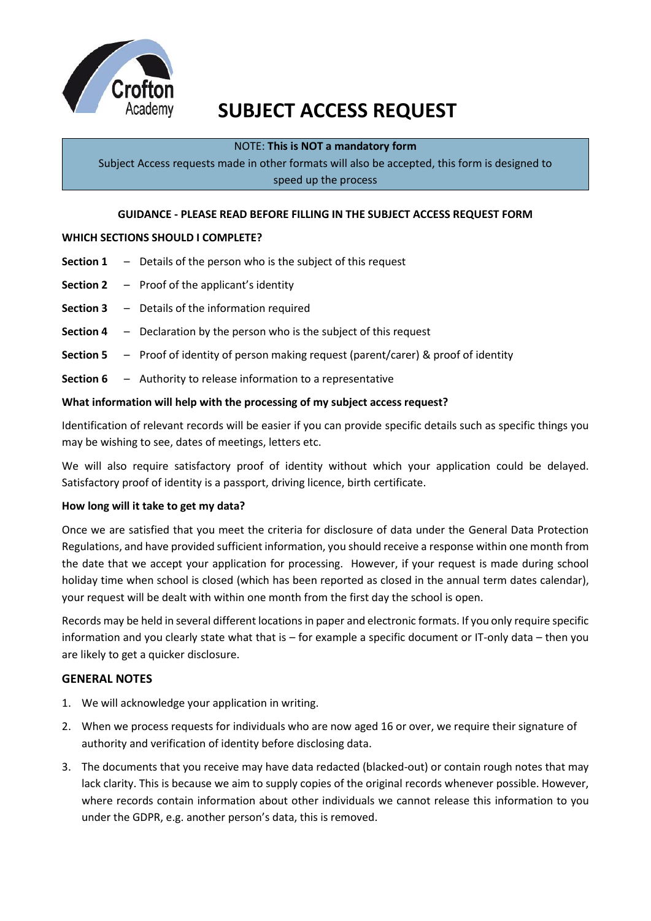

# **SUBJECT ACCESS REQUEST**

## NOTE: **This is NOT a mandatory form**

Subject Access requests made in other formats will also be accepted, this form is designed to speed up the process

#### **GUIDANCE - PLEASE READ BEFORE FILLING IN THE SUBJECT ACCESS REQUEST FORM**

## **WHICH SECTIONS SHOULD I COMPLETE?**

- **Section 1** Details of the person who is the subject of this request
- **Section 2** Proof of the applicant's identity
- **Section 3** Details of the information required
- **Section 4** Declaration by the person who is the subject of this request
- **Section 5** Proof of identity of person making request (parent/carer) & proof of identity
- **Section 6** Authority to release information to a representative

#### **What information will help with the processing of my subject access request?**

Identification of relevant records will be easier if you can provide specific details such as specific things you may be wishing to see, dates of meetings, letters etc.

We will also require satisfactory proof of identity without which your application could be delayed. Satisfactory proof of identity is a passport, driving licence, birth certificate.

#### **How long will it take to get my data?**

Once we are satisfied that you meet the criteria for disclosure of data under the General Data Protection Regulations, and have provided sufficient information, you should receive a response within one month from the date that we accept your application for processing. However, if your request is made during school holiday time when school is closed (which has been reported as closed in the annual term dates calendar), your request will be dealt with within one month from the first day the school is open.

Records may be held in several different locations in paper and electronic formats. If you only require specific information and you clearly state what that is – for example a specific document or IT-only data – then you are likely to get a quicker disclosure.

## **GENERAL NOTES**

- 1. We will acknowledge your application in writing.
- 2. When we process requests for individuals who are now aged 16 or over, we require their signature of authority and verification of identity before disclosing data.
- 3. The documents that you receive may have data redacted (blacked-out) or contain rough notes that may lack clarity. This is because we aim to supply copies of the original records whenever possible. However, where records contain information about other individuals we cannot release this information to you under the GDPR, e.g. another person's data, this is removed.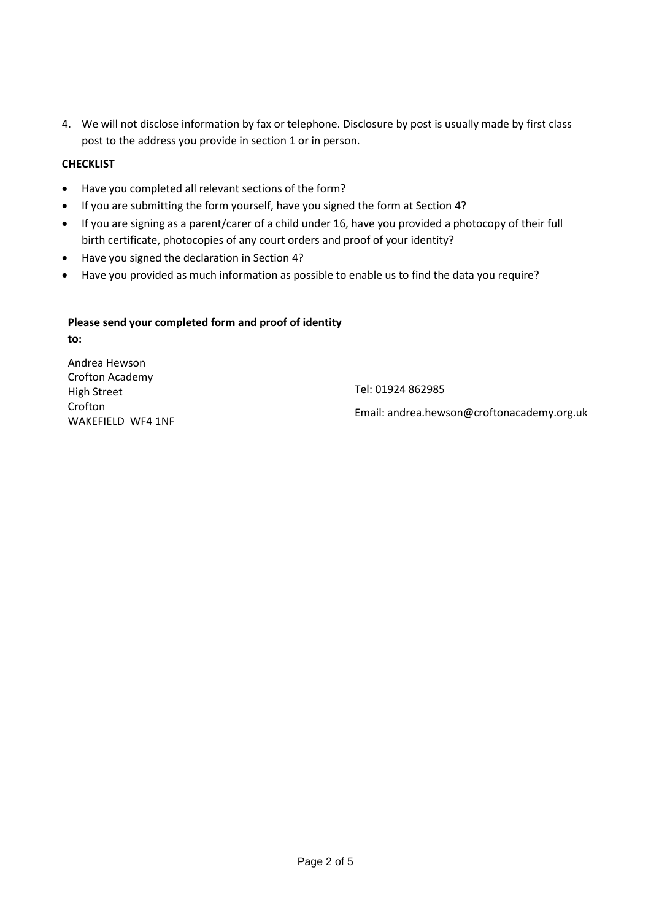4. We will not disclose information by fax or telephone. Disclosure by post is usually made by first class post to the address you provide in section 1 or in person.

## **CHECKLIST**

- Have you completed all relevant sections of the form?
- If you are submitting the form yourself, have you signed the form at Section 4?
- If you are signing as a parent/carer of a child under 16, have you provided a photocopy of their full birth certificate, photocopies of any court orders and proof of your identity?
- Have you signed the declaration in Section 4?
- Have you provided as much information as possible to enable us to find the data you require?

## **Please send your completed form and proof of identity**

**to:**

Andrea Hewson Crofton Academy High Street Crofton WAKEFIELD WF4 1NF

Tel: 01924 862985

Email: andrea.hewson@croftonacademy.org.uk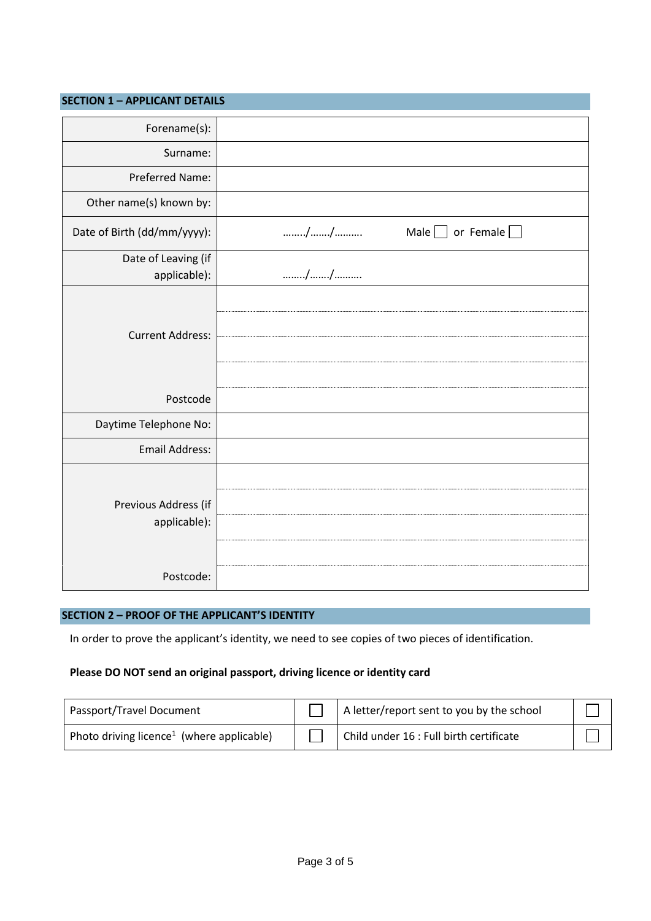| <b>SECTION 1 - APPLICANT DETAILS</b> |                                       |
|--------------------------------------|---------------------------------------|
| Forename(s):                         |                                       |
| Surname:                             |                                       |
| Preferred Name:                      |                                       |
| Other name(s) known by:              |                                       |
| Date of Birth (dd/mm/yyyy):          | //<br>Male $\Box$<br>or Female $\Box$ |
| Date of Leaving (if<br>applicable):  | //                                    |
| <b>Current Address:</b>              |                                       |
| Postcode                             |                                       |
| Daytime Telephone No:                |                                       |
| Email Address:                       |                                       |
| Previous Address (if<br>applicable): |                                       |
| Postcode:                            |                                       |

#### **SECTION 2 – PROOF OF THE APPLICANT'S IDENTITY**

In order to prove the applicant's identity, we need to see copies of two pieces of identification.

## **Please DO NOT send an original passport, driving licence or identity card**

| Passport/Travel Document                              | A letter/report sent to you by the school |  |
|-------------------------------------------------------|-------------------------------------------|--|
| Photo driving licence <sup>1</sup> (where applicable) | Child under 16 : Full birth certificate   |  |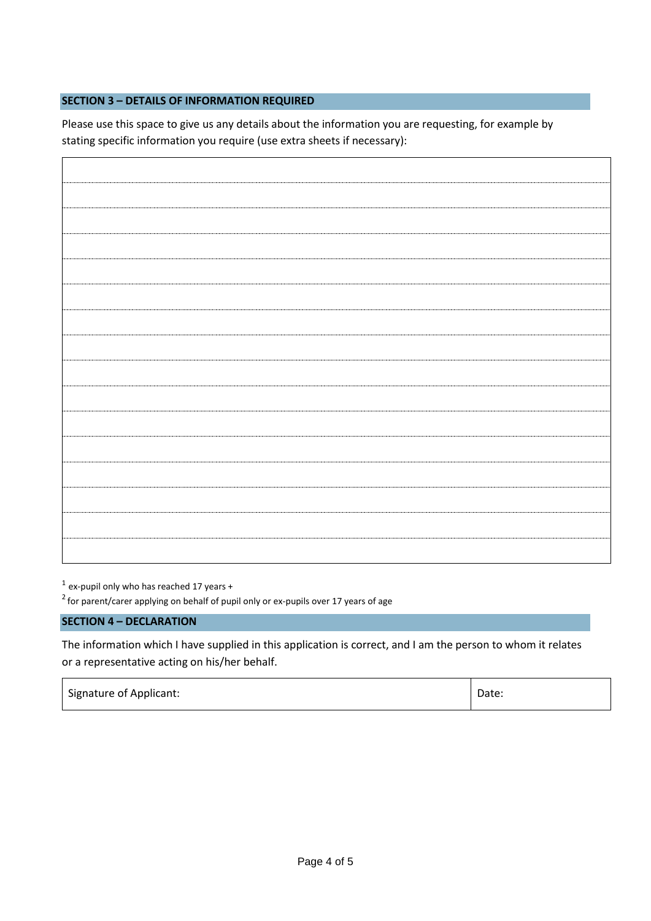## **SECTION 3 – DETAILS OF INFORMATION REQUIRED**

Please use this space to give us any details about the information you are requesting, for example by stating specific information you require (use extra sheets if necessary):

 $<sup>1</sup>$  ex-pupil only who has reached 17 years +</sup>

 $2$  for parent/carer applying on behalf of pupil only or ex-pupils over 17 years of age

#### **SECTION 4 – DECLARATION**

The information which I have supplied in this application is correct, and I am the person to whom it relates or a representative acting on his/her behalf.

| Signature of Applicant: | Date: |
|-------------------------|-------|
|-------------------------|-------|